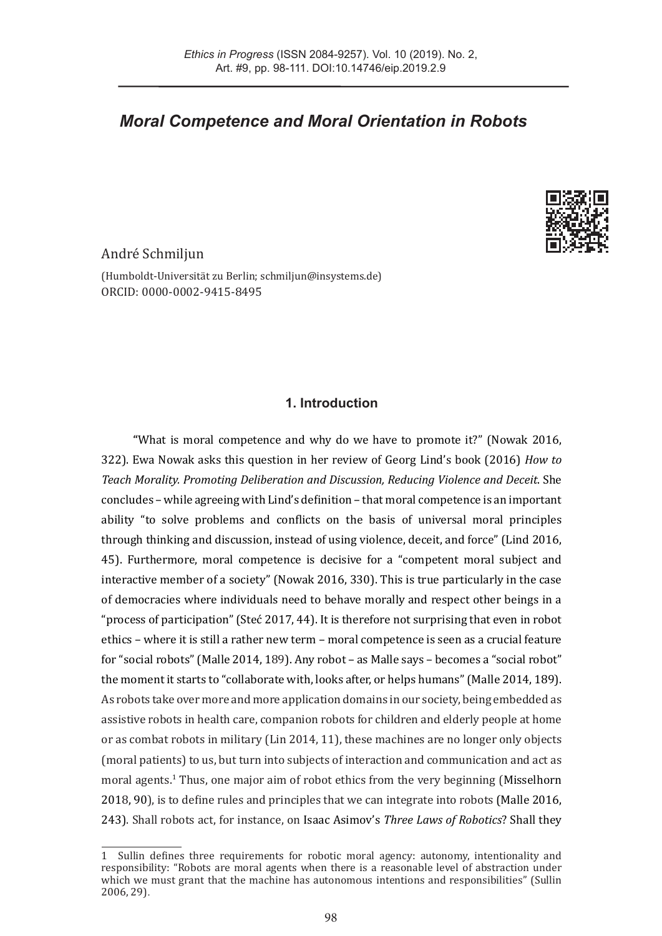# *Moral Competence and Moral Orientation in Robots*



# André Schmiljun

(Humboldt-Universität zu Berlin; [schmiljun@insystems.de](mailto:schmiljun%40insystems.de?subject=)) ORCID: [0000-0002-9415-8495](mailto:https://orcid.org/0000-0002-9415-8495?subject=)

## **1. Introduction**

**"**What is moral competence and why do we have to promote it?" (Nowak 2016, 322). Ewa Nowak asks this question in her review of Georg Lind's book (2016) *How to Teach Morality. Promoting Deliberation and Discussion, Reducing Violence and Deceit*. She concludes – while agreeing with Lind's definition – that moral competence is an important ability "to solve problems and conflicts on the basis of universal moral principles through thinking and discussion, instead of using violence, deceit, and force" (Lind 2016, 45). Furthermore, moral competence is decisive for a "competent moral subject and interactive member of a society" (Nowak 2016, 330). This is true particularly in the case of democracies where individuals need to behave morally and respect other beings in a "process of participation" (Steć 2017, 44). It is therefore not surprising that even in robot ethics – where it is still a rather new term – moral competence is seen as a crucial feature for "social robots" (Malle 2014, 189). Any robot – as Malle says – becomes a "social robot" the moment it starts to "collaborate with, looks after, or helps humans" (Malle 2014, 189). As robots take over more and more application domains in our society, being embedded as assistive robots in health care, companion robots for children and elderly people at home or as combat robots in military (Lin 2014, 11), these machines are no longer only objects (moral patients) to us, but turn into subjects of interaction and communication and act as moral agents.1 Thus, one major aim of robot ethics from the very beginning (Misselhorn 2018, 90), is to define rules and principles that we can integrate into robots (Malle 2016, 243). Shall robots act, for instance, on Isaac Asimov's *Three Laws of Robotics*? Shall they

<sup>1</sup> Sullin defines three requirements for robotic moral agency: autonomy, intentionality and responsibility: "Robots are moral agents when there is a reasonable level of abstraction under which we must grant that the machine has autonomous intentions and responsibilities" (Sullin 2006, 29).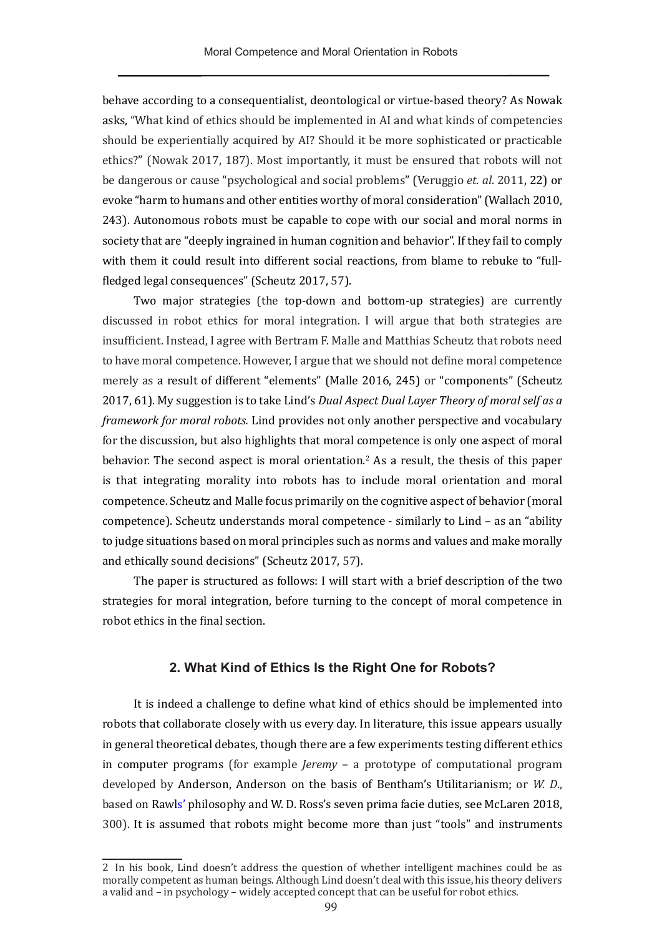behave according to a consequentialist, deontological or virtue-based theory? As Nowak asks, "What kind of ethics should be implemented in AI and what kinds of competencies should be experientially acquired by AI? Should it be more sophisticated or practicable ethics?" (Nowak 2017, 187). Most importantly, it must be ensured that robots will not be dangerous or cause "psychological and social problems" (Veruggio *et. al*. 2011, 22) or evoke "harm to humans and other entities worthy of moral consideration" (Wallach 2010, 243). Autonomous robots must be capable to cope with our social and moral norms in society that are "deeply ingrained in human cognition and behavior". If they fail to comply with them it could result into different social reactions, from blame to rebuke to "fullfledged legal consequences" (Scheutz 2017, 57).

Two major strategies (the top-down and bottom-up strategies) are currently discussed in robot ethics for moral integration. I will argue that both strategies are insufficient. Instead, I agree with Bertram F. Malle and Matthias Scheutz that robots need to have moral competence. However, I argue that we should not define moral competence merely as a result of different "elements" (Malle 2016, 245) or "components" (Scheutz 2017, 61). My suggestion is to take Lind's *Dual Aspect Dual Layer Theory of moral self as a framework for moral robots.* Lind provides not only another perspective and vocabulary for the discussion, but also highlights that moral competence is only one aspect of moral behavior. The second aspect is moral orientation.<sup>2</sup> As a result, the thesis of this paper is that integrating morality into robots has to include moral orientation and moral competence. Scheutz and Malle focus primarily on the cognitive aspect of behavior (moral competence). Scheutz understands moral competence - similarly to Lind – as an "ability to judge situations based on moral principles such as norms and values and make morally and ethically sound decisions" (Scheutz 2017, 57).

The paper is structured as follows: I will start with a brief description of the two strategies for moral integration, before turning to the concept of moral competence in robot ethics in the final section.

#### **2. What Kind of Ethics Is the Right One for Robots?**

It is indeed a challenge to define what kind of ethics should be implemented into robots that collaborate closely with us every day. In literature, this issue appears usually in general theoretical debates, though there are a few experiments testing different ethics in computer programs (for example *Jeremy* – a prototype of computational program developed by Anderson, Anderson on the basis of Bentham's Utilitarianism; or *W. D*., based on Rawls' philosophy and W. D. Ross's seven prima facie duties, see McLaren 2018, 300). It is assumed that robots might become more than just "tools" and instruments

<sup>2</sup> In his book, Lind doesn't address the question of whether intelligent machines could be as morally competent as human beings. Although Lind doesn't deal with this issue, his theory delivers a valid and – in psychology – widely accepted concept that can be useful for robot ethics.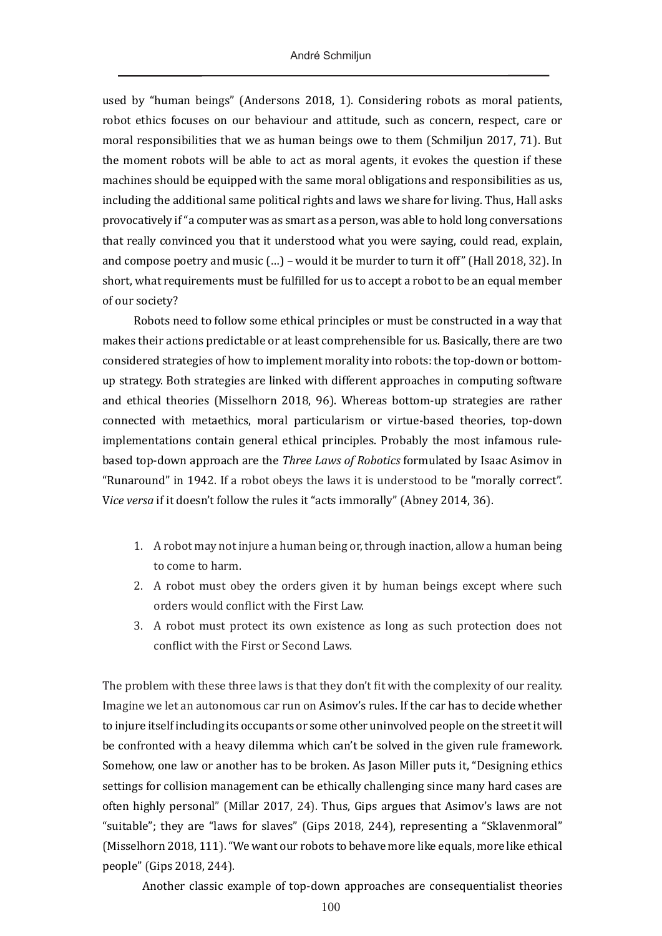used by "human beings" (Andersons 2018, 1). Considering robots as moral patients, robot ethics focuses on our behaviour and attitude, such as concern, respect, care or moral responsibilities that we as human beings owe to them (Schmiljun 2017, 71). But the moment robots will be able to act as moral agents, it evokes the question if these machines should be equipped with the same moral obligations and responsibilities as us, including the additional same political rights and laws we share for living. Thus, Hall asks provocatively if "a computer was as smart as a person, was able to hold long conversations that really convinced you that it understood what you were saying, could read, explain, and compose poetry and music (…) – would it be murder to turn it off" (Hall 2018, 32). In short, what requirements must be fulfilled for us to accept a robot to be an equal member of our society?

Robots need to follow some ethical principles or must be constructed in a way that makes their actions predictable or at least comprehensible for us. Basically, there are two considered strategies of how to implement morality into robots: the top-down or bottomup strategy. Both strategies are linked with different approaches in computing software and ethical theories (Misselhorn 2018, 96). Whereas bottom-up strategies are rather connected with metaethics, moral particularism or virtue-based theories, top-down implementations contain general ethical principles. Probably the most infamous rulebased top-down approach are the *Three Laws of Robotics* formulated by Isaac Asimov in "Runaround" in 1942. If a robot obeys the laws it is understood to be "morally correct". V*ice versa* if it doesn't follow the rules it "acts immorally" (Abney 2014, 36).

- 1. A robot may not injure a human being or, through inaction, allow a human being to come to harm.
- 2. A robot must obey the orders given it by human beings except where such orders would conflict with the First Law.
- 3. A robot must protect its own existence as long as such protection does not conflict with the First or Second Laws.

The problem with these three laws is that they don't fit with the complexity of our reality. Imagine we let an autonomous car run on Asimov's rules. If the car has to decide whether to injure itself including its occupants or some other uninvolved people on the street it will be confronted with a heavy dilemma which can't be solved in the given rule framework. Somehow, one law or another has to be broken. As Jason Miller puts it, "Designing ethics settings for collision management can be ethically challenging since many hard cases are often highly personal" (Millar 2017, 24). Thus, Gips argues that Asimov's laws are not "suitable"; they are "laws for slaves" (Gips 2018, 244), representing a "Sklavenmoral" (Misselhorn 2018, 111). "We want our robots to behave more like equals, more like ethical people" (Gips 2018, 244).

Another classic example of top-down approaches are consequentialist theories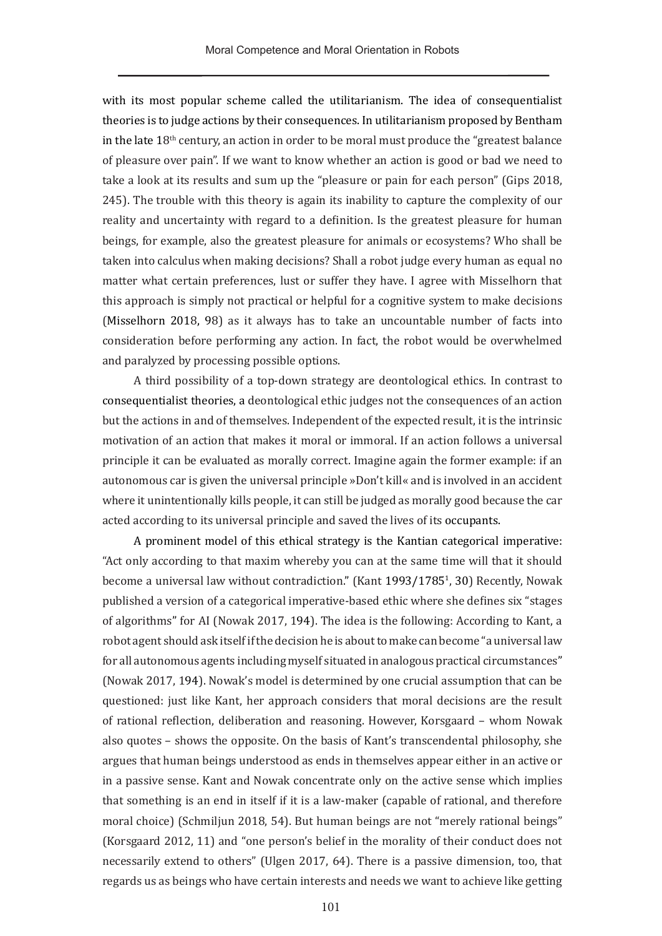with its most popular scheme called the utilitarianism. The idea of consequentialist theories is to judge actions by their consequences. In utilitarianism proposed by Bentham in the late  $18<sup>th</sup>$  century, an action in order to be moral must produce the "greatest balance of pleasure over pain". If we want to know whether an action is good or bad we need to take a look at its results and sum up the "pleasure or pain for each person" (Gips 2018, 245). The trouble with this theory is again its inability to capture the complexity of our reality and uncertainty with regard to a definition. Is the greatest pleasure for human beings, for example, also the greatest pleasure for animals or ecosystems? Who shall be taken into calculus when making decisions? Shall a robot judge every human as equal no matter what certain preferences, lust or suffer they have. I agree with Misselhorn that this approach is simply not practical or helpful for a cognitive system to make decisions (Misselhorn 2018, 98) as it always has to take an uncountable number of facts into consideration before performing any action. In fact, the robot would be overwhelmed and paralyzed by processing possible options.

A third possibility of a top-down strategy are deontological ethics. In contrast to consequentialist theories, a deontological ethic judges not the consequences of an action but the actions in and of themselves. Independent of the expected result, it is the intrinsic motivation of an action that makes it moral or immoral. If an action follows a universal principle it can be evaluated as morally correct. Imagine again the former example: if an autonomous car is given the universal principle »Don't kill« and is involved in an accident where it unintentionally kills people, it can still be judged as morally good because the car acted according to its universal principle and saved the lives of its occupants.

A prominent model of this ethical strategy is the Kantian categorical imperative: "Act only according to that maxim whereby you can at the same time will that it should become a universal law without contradiction." (Kant 1993/1785<sup>1</sup> , 30) Recently, Nowak published a version of a categorical imperative-based ethic where she defines six "stages of algorithms" for AI (Nowak 2017, 194). The idea is the following: According to Kant, a robot agent should ask itself if the decision he is about to make can become "a universal law for all autonomous agents including myself situated in analogous practical circumstances" (Nowak 2017, 194). Nowak's model is determined by one crucial assumption that can be questioned: just like Kant, her approach considers that moral decisions are the result of rational reflection, deliberation and reasoning. However, Korsgaard – whom Nowak also quotes – shows the opposite. On the basis of Kant's transcendental philosophy, she argues that human beings understood as ends in themselves appear either in an active or in a passive sense. Kant and Nowak concentrate only on the active sense which implies that something is an end in itself if it is a law-maker (capable of rational, and therefore moral choice) (Schmiljun 2018, 54). But human beings are not "merely rational beings" (Korsgaard 2012, 11) and "one person's belief in the morality of their conduct does not necessarily extend to others" (Ulgen 2017, 64). There is a passive dimension, too, that regards us as beings who have certain interests and needs we want to achieve like getting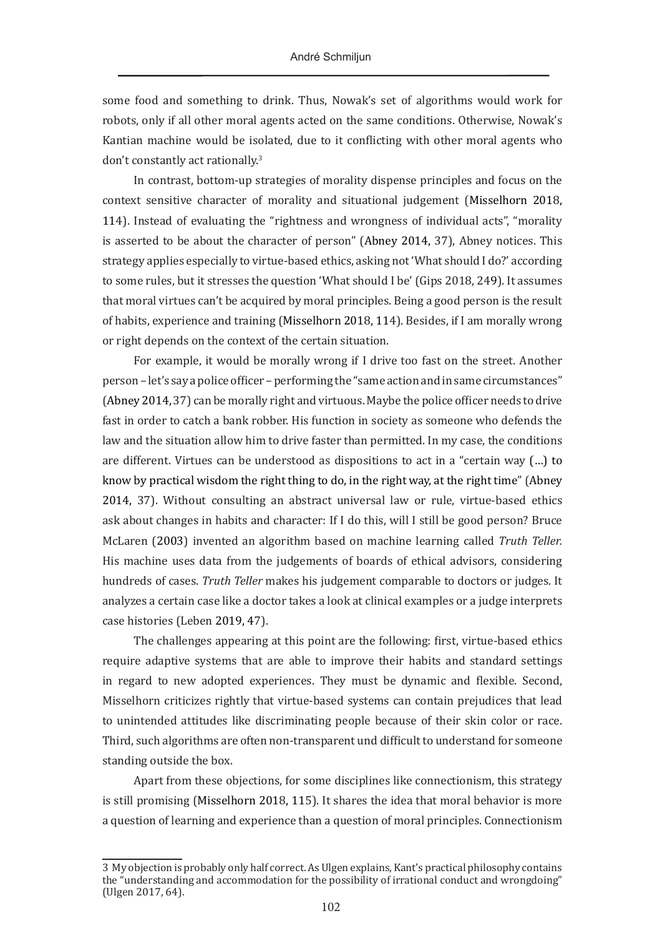some food and something to drink. Thus, Nowak's set of algorithms would work for robots, only if all other moral agents acted on the same conditions. Otherwise, Nowak's Kantian machine would be isolated, due to it conflicting with other moral agents who don't constantly act rationally.3

In contrast, bottom-up strategies of morality dispense principles and focus on the context sensitive character of morality and situational judgement (Misselhorn 2018, 114). Instead of evaluating the "rightness and wrongness of individual acts", "morality is asserted to be about the character of person" (Abney 2014, 37), Abney notices. This strategy applies especially to virtue-based ethics, asking not 'What should I do?' according to some rules, but it stresses the question 'What should I be' (Gips 2018, 249). It assumes that moral virtues can't be acquired by moral principles. Being a good person is the result of habits, experience and training (Misselhorn 2018, 114). Besides, if I am morally wrong or right depends on the context of the certain situation.

For example, it would be morally wrong if I drive too fast on the street. Another person – let's say a police officer – performing the "same action and in same circumstances" (Abney 2014, 37) can be morally right and virtuous. Maybe the police officer needs to drive fast in order to catch a bank robber. His function in society as someone who defends the law and the situation allow him to drive faster than permitted. In my case, the conditions are different. Virtues can be understood as dispositions to act in a "certain way (…) to know by practical wisdom the right thing to do, in the right way, at the right time" (Abney 2014, 37). Without consulting an abstract universal law or rule, virtue-based ethics ask about changes in habits and character: If I do this, will I still be good person? Bruce McLaren (2003) invented an algorithm based on machine learning called *Truth Teller.*  His machine uses data from the judgements of boards of ethical advisors, considering hundreds of cases. *Truth Teller* makes his judgement comparable to doctors or judges. It analyzes a certain case like a doctor takes a look at clinical examples or a judge interprets case histories (Leben 2019, 47).

The challenges appearing at this point are the following: first, virtue-based ethics require adaptive systems that are able to improve their habits and standard settings in regard to new adopted experiences. They must be dynamic and flexible. Second, Misselhorn criticizes rightly that virtue-based systems can contain prejudices that lead to unintended attitudes like discriminating people because of their skin color or race. Third, such algorithms are often non-transparent und difficult to understand for someone standing outside the box.

Apart from these objections, for some disciplines like connectionism, this strategy is still promising (Misselhorn 2018, 115). It shares the idea that moral behavior is more a question of learning and experience than a question of moral principles. Connectionism

<sup>3</sup> My objection is probably only half correct. As Ulgen explains, Kant's practical philosophy contains the "understanding and accommodation for the possibility of irrational conduct and wrongdoing" (Ulgen 2017, 64).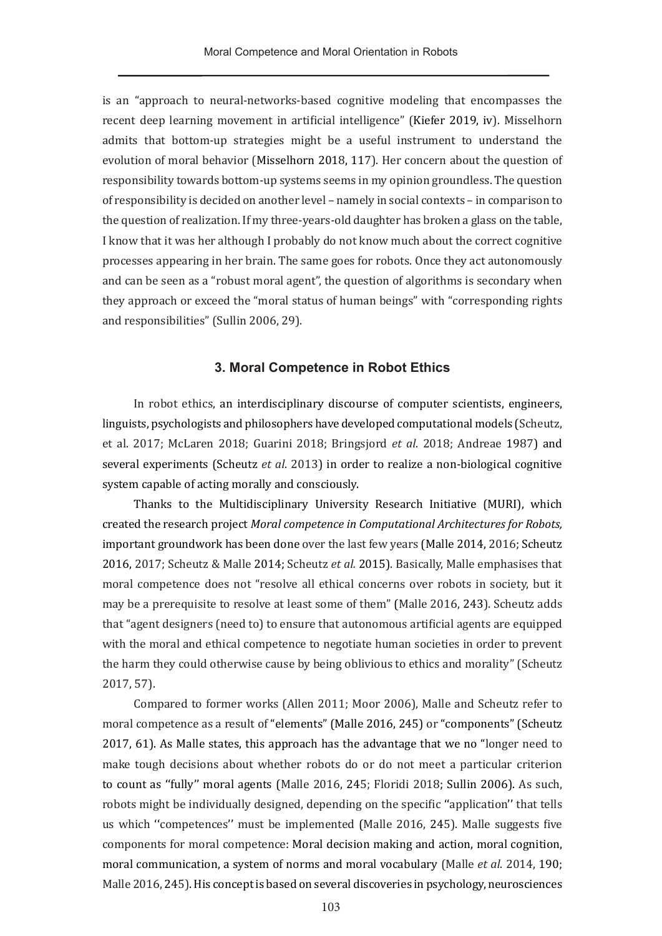is an "approach to neural-networks-based cognitive modeling that encompasses the recent deep learning movement in artificial intelligence" (Kiefer 2019, iv). Misselhorn admits that bottom-up strategies might be a useful instrument to understand the evolution of moral behavior (Misselhorn 2018, 117). Her concern about the question of responsibility towards bottom-up systems seems in my opinion groundless. The question of responsibility is decided on another level – namely in social contexts – in comparison to the question of realization. If my three-years-old daughter has broken a glass on the table, I know that it was her although I probably do not know much about the correct cognitive processes appearing in her brain. The same goes for robots. Once they act autonomously and can be seen as a "robust moral agent", the question of algorithms is secondary when they approach or exceed the "moral status of human beings" with "corresponding rights and responsibilities" (Sullin 2006, 29).

#### **3. Moral Competence in Robot Ethics**

In robot ethics, an interdisciplinary discourse of computer scientists, engineers, linguists, psychologists and philosophers have developed computational models (Scheutz, et al. 2017; McLaren 2018; Guarini 2018; Bringsjord *et al*. 2018; Andreae 1987) and several experiments (Scheutz *et al*. 2013) in order to realize a non-biological cognitive system capable of acting morally and consciously.

Thanks to the Multidisciplinary University Research Initiative (MURI), which created the research project *Moral competence in Computational Architectures for Robots,*  important groundwork has been done over the last few years (Malle 2014, 2016; Scheutz 2016, 2017; Scheutz & Malle 2014; Scheutz *et al.* 2015). Basically, Malle emphasises that moral competence does not "resolve all ethical concerns over robots in society, but it may be a prerequisite to resolve at least some of them" (Malle 2016, 243). Scheutz adds that "agent designers (need to) to ensure that autonomous artificial agents are equipped with the moral and ethical competence to negotiate human societies in order to prevent the harm they could otherwise cause by being oblivious to ethics and morality" (Scheutz 2017, 57).

Compared to former works (Allen 2011; Moor 2006), Malle and Scheutz refer to moral competence as a result of "elements" (Malle 2016, 245) or "components" (Scheutz 2017, 61). As Malle states, this approach has the advantage that we no "longer need to make tough decisions about whether robots do or do not meet a particular criterion to count as ''fully'' moral agents (Malle 2016, 245; Floridi 2018; Sullin 2006). As such, robots might be individually designed, depending on the specific "application" that tells us which ''competences'' must be implemented (Malle 2016, 245). Malle suggests five components for moral competence: Moral decision making and action, moral cognition, moral communication, a system of norms and moral vocabulary (Malle *et al*. 2014, 190; Malle 2016, 245). His concept is based on several discoveries in psychology, neurosciences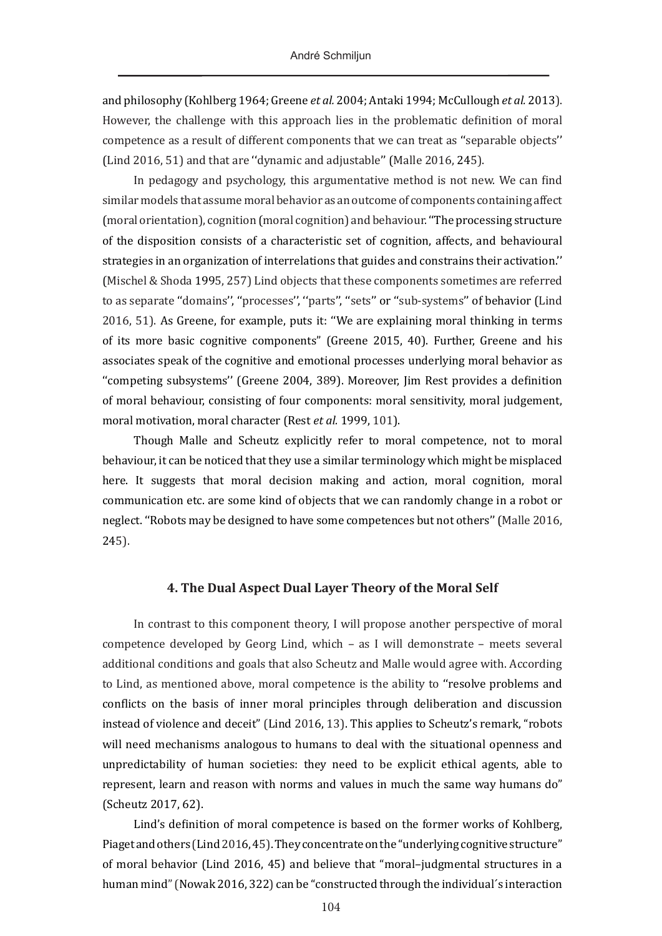and philosophy (Kohlberg 1964; Greene *et al.* 2004; Antaki 1994; McCullough *et al.* 2013). However, the challenge with this approach lies in the problematic definition of moral competence as a result of different components that we can treat as ''separable objects'' (Lind 2016, 51) and that are ''dynamic and adjustable'' (Malle 2016, 245).

In pedagogy and psychology, this argumentative method is not new. We can find similar models that assume moral behavior as an outcome of components containing affect (moral orientation), cognition (moral cognition) and behaviour. ''The processing structure of the disposition consists of a characteristic set of cognition, affects, and behavioural strategies in an organization of interrelations that guides and constrains their activation.'' (Mischel & Shoda 1995, 257) Lind objects that these components sometimes are referred to as separate "domains", "processes", "parts", "sets" or "sub-systems" of behavior (Lind 2016, 51). As Greene, for example, puts it: ''We are explaining moral thinking in terms of its more basic cognitive components" (Greene 2015, 40). Further, Greene and his associates speak of the cognitive and emotional processes underlying moral behavior as ''competing subsystems'' (Greene 2004, 389). Moreover, Jim Rest provides a definition of moral behaviour, consisting of four components: moral sensitivity, moral judgement, moral motivation, moral character (Rest *et al.* 1999, 101).

Though Malle and Scheutz explicitly refer to moral competence, not to moral behaviour, it can be noticed that they use a similar terminology which might be misplaced here. It suggests that moral decision making and action, moral cognition, moral communication etc. are some kind of objects that we can randomly change in a robot or neglect. ''Robots may be designed to have some competences but not others'' (Malle 2016, 245).

#### **4. The Dual Aspect Dual Layer Theory of the Moral Self**

In contrast to this component theory, I will propose another perspective of moral competence developed by Georg Lind, which – as I will demonstrate – meets several additional conditions and goals that also Scheutz and Malle would agree with. According to Lind, as mentioned above, moral competence is the ability to ''resolve problems and conflicts on the basis of inner moral principles through deliberation and discussion instead of violence and deceit" (Lind 2016, 13). This applies to Scheutz's remark, "robots will need mechanisms analogous to humans to deal with the situational openness and unpredictability of human societies: they need to be explicit ethical agents, able to represent, learn and reason with norms and values in much the same way humans do" (Scheutz 2017, 62).

Lind's definition of moral competence is based on the former works of Kohlberg, Piaget and others (Lind 2016,45). They concentrate on the "underlying cognitive structure" of moral behavior (Lind 2016, 45) and believe that "moral–judgmental structures in a human mind"(Nowak 2016, 322) can be "constructed through the individual´s interaction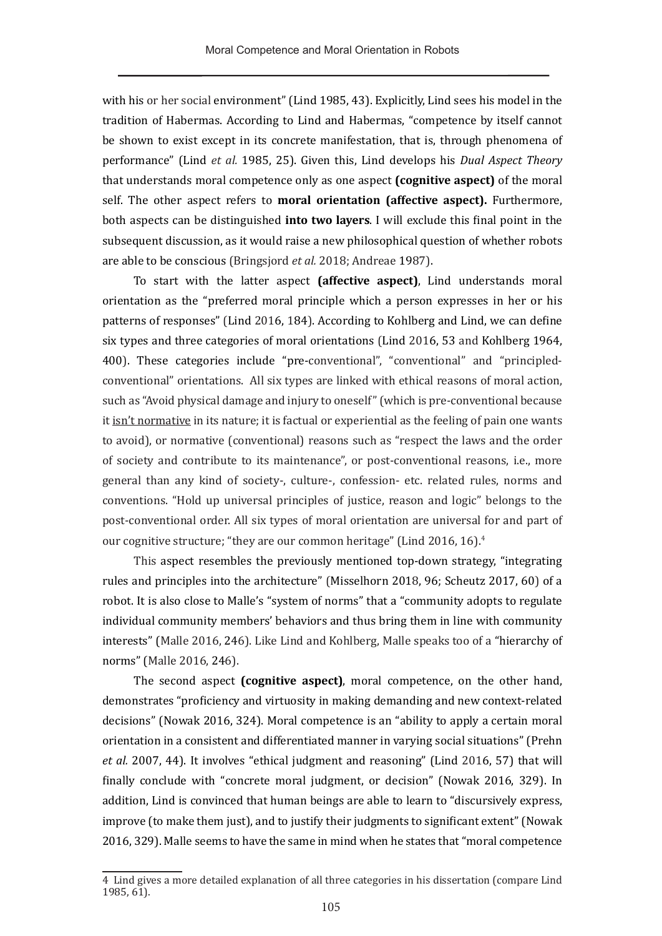with his or her social environment" (Lind 1985, 43). Explicitly, Lind sees his model in the tradition of Habermas. According to Lind and Habermas, "competence by itself cannot be shown to exist except in its concrete manifestation, that is, through phenomena of performance" (Lind *et al.* 1985, 25). Given this, Lind develops his *Dual Aspect Theory* that understands moral competence only as one aspect **(cognitive aspect)** of the moral self. The other aspect refers to **moral orientation (affective aspect).** Furthermore, both aspects can be distinguished **into two layers**. I will exclude this final point in the subsequent discussion, as it would raise a new philosophical question of whether robots are able to be conscious (Bringsjord *et al.* 2018; Andreae 1987).

To start with the latter aspect **(affective aspect)**, Lind understands moral orientation as the "preferred moral principle which a person expresses in her or his patterns of responses" (Lind 2016, 184). According to Kohlberg and Lind, we can define six types and three categories of moral orientations (Lind 2016, 53 and Kohlberg 1964, 400). These categories include "pre-conventional", "conventional" and "principledconventional" orientations. All six types are linked with ethical reasons of moral action, such as "Avoid physical damage and injury to oneself" (which is pre-conventional because it isn't normative in its nature; it is factual or experiential as the feeling of pain one wants to avoid), or normative (conventional) reasons such as "respect the laws and the order of society and contribute to its maintenance", or post-conventional reasons, i.e., more general than any kind of society-, culture-, confession- etc. related rules, norms and conventions. "Hold up universal principles of justice, reason and logic" belongs to the post-conventional order. All six types of moral orientation are universal for and part of our cognitive structure; "they are our common heritage" (Lind 2016, 16).<sup>4</sup>

This aspect resembles the previously mentioned top-down strategy, "integrating rules and principles into the architecture" (Misselhorn 2018, 96; Scheutz 2017, 60) of a robot. It is also close to Malle's "system of norms" that a "community adopts to regulate individual community members' behaviors and thus bring them in line with community interests" (Malle 2016, 246). Like Lind and Kohlberg, Malle speaks too of a "hierarchy of norms" (Malle 2016, 246).

The second aspect **(cognitive aspect)**, moral competence, on the other hand, demonstrates "proficiency and virtuosity in making demanding and new context-related decisions" (Nowak 2016, 324). Moral competence is an "ability to apply a certain moral orientation in a consistent and differentiated manner in varying social situations" (Prehn *et al.* 2007, 44). It involves "ethical judgment and reasoning" (Lind 2016, 57) that will finally conclude with "concrete moral judgment, or decision" (Nowak 2016, 329). In addition, Lind is convinced that human beings are able to learn to "discursively express, improve (to make them just), and to justify their judgments to significant extent" (Nowak 2016, 329). Malle seems to have the same in mind when he states that "moral competence

<sup>4</sup> Lind gives a more detailed explanation of all three categories in his dissertation (compare Lind 1985, 61).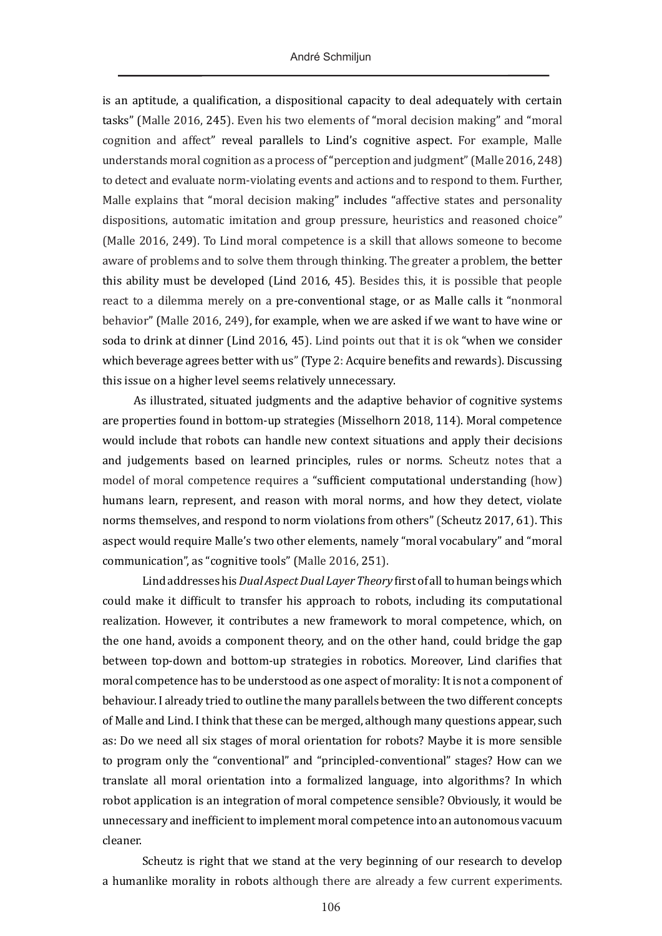is an aptitude, a qualification, a dispositional capacity to deal adequately with certain tasks" (Malle 2016, 245). Even his two elements of "moral decision making" and "moral cognition and affect" reveal parallels to Lind's cognitive aspect. For example, Malle understands moral cognition as a process of "perception and judgment" (Malle 2016, 248) to detect and evaluate norm-violating events and actions and to respond to them. Further, Malle explains that "moral decision making" includes "affective states and personality dispositions, automatic imitation and group pressure, heuristics and reasoned choice" (Malle 2016, 249). To Lind moral competence is a skill that allows someone to become aware of problems and to solve them through thinking. The greater a problem, the better this ability must be developed (Lind 2016, 45). Besides this, it is possible that people react to a dilemma merely on a pre-conventional stage, or as Malle calls it "nonmoral behavior" (Malle 2016, 249), for example, when we are asked if we want to have wine or soda to drink at dinner (Lind 2016, 45). Lind points out that it is ok "when we consider which beverage agrees better with us" (Type 2: Acquire benefits and rewards). Discussing this issue on a higher level seems relatively unnecessary.

As illustrated, situated judgments and the adaptive behavior of cognitive systems are properties found in bottom-up strategies (Misselhorn 2018, 114). Moral competence would include that robots can handle new context situations and apply their decisions and judgements based on learned principles, rules or norms. Scheutz notes that a model of moral competence requires a "sufficient computational understanding (how) humans learn, represent, and reason with moral norms, and how they detect, violate norms themselves, and respond to norm violations from others" (Scheutz 2017, 61). This aspect would require Malle's two other elements, namely "moral vocabulary" and "moral communication", as "cognitive tools" (Malle 2016, 251).

Lind addresses his *Dual Aspect Dual Layer Theory* first of all to human beings which could make it difficult to transfer his approach to robots, including its computational realization. However, it contributes a new framework to moral competence, which, on the one hand, avoids a component theory, and on the other hand, could bridge the gap between top-down and bottom-up strategies in robotics. Moreover, Lind clarifies that moral competence has to be understood as one aspect of morality: It is not a component of behaviour. I already tried to outline the many parallels between the two different concepts of Malle and Lind. I think that these can be merged, although many questions appear, such as: Do we need all six stages of moral orientation for robots? Maybe it is more sensible to program only the "conventional" and "principled-conventional" stages? How can we translate all moral orientation into a formalized language, into algorithms? In which robot application is an integration of moral competence sensible? Obviously, it would be unnecessary and inefficient to implement moral competence into an autonomous vacuum cleaner.

Scheutz is right that we stand at the very beginning of our research to develop a humanlike morality in robots although there are already a few current experiments.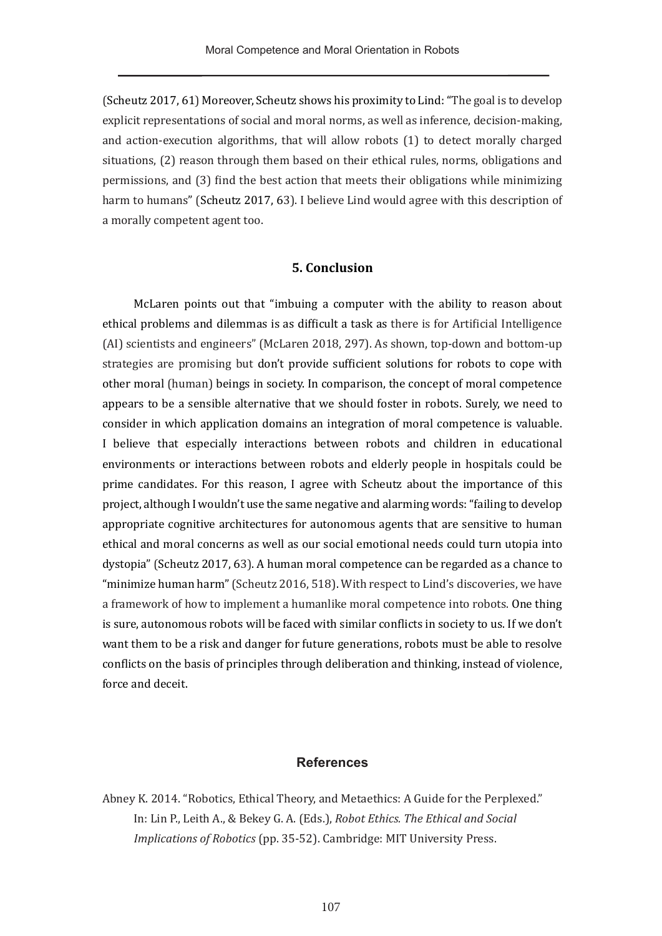(Scheutz 2017, 61) Moreover, Scheutz shows his proximity to Lind: "The goal is to develop explicit representations of social and moral norms, as well as inference, decision-making, and action-execution algorithms, that will allow robots (1) to detect morally charged situations, (2) reason through them based on their ethical rules, norms, obligations and permissions, and (3) find the best action that meets their obligations while minimizing harm to humans" (Scheutz 2017, 63). I believe Lind would agree with this description of a morally competent agent too.

#### **5. Conclusion**

McLaren points out that "imbuing a computer with the ability to reason about ethical problems and dilemmas is as difficult a task as there is for Artificial Intelligence (AI) scientists and engineers" (McLaren 2018, 297). As shown, top-down and bottom-up strategies are promising but don't provide sufficient solutions for robots to cope with other moral (human) beings in society. In comparison, the concept of moral competence appears to be a sensible alternative that we should foster in robots. Surely, we need to consider in which application domains an integration of moral competence is valuable. I believe that especially interactions between robots and children in educational environments or interactions between robots and elderly people in hospitals could be prime candidates. For this reason, I agree with Scheutz about the importance of this project, although I wouldn't use the same negative and alarming words: "failing to develop appropriate cognitive architectures for autonomous agents that are sensitive to human ethical and moral concerns as well as our social emotional needs could turn utopia into dystopia" (Scheutz 2017, 63). A human moral competence can be regarded as a chance to "minimize human harm" (Scheutz 2016, 518). With respect to Lind's discoveries, we have a framework of how to implement a humanlike moral competence into robots. One thing is sure, autonomous robots will be faced with similar conflicts in society to us. If we don't want them to be a risk and danger for future generations, robots must be able to resolve conflicts on the basis of principles through deliberation and thinking, instead of violence, force and deceit.

#### **References**

Abney K. 2014. "Robotics, Ethical Theory, and Metaethics: A Guide for the Perplexed." In: Lin P., Leith A., & Bekey G. A. (Eds.), *Robot Ethics. The Ethical and Social Implications of Robotics* (pp. 35-52). Cambridge: MIT University Press.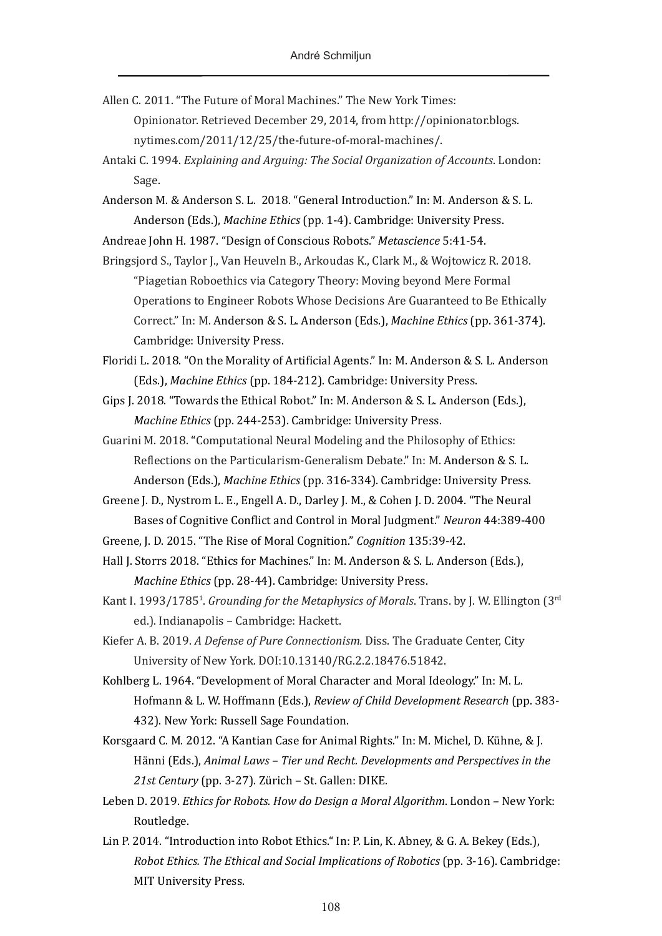- Allen C. 2011. "The Future of Moral Machines." The New York Times: Opinionator. Retrieved December 29, 2014, from [http://opinionator.blogs.](http://opinionator.blogs.nytimes.com/2011/12/25/the-future-of-moral-machines/) [nytimes.com/2011/12/25/the-future-of-moral-machines/](http://opinionator.blogs.nytimes.com/2011/12/25/the-future-of-moral-machines/).
- Antaki C. 1994. *Explaining and Arguing: The Social Organization of Accounts*. London: Sage.
- Anderson M. & Anderson S. L. 2018. "General Introduction." In: M. Anderson & S. L. Anderson (Eds.), *Machine Ethics* (pp. 1-4). Cambridge: University Press.

Andreae John H. 1987. "Design of Conscious Robots." *Metascience* 5:41-54.

- Bringsjord S., Taylor J., Van Heuveln B., Arkoudas K., Clark M., & Wojtowicz R. 2018. "Piagetian Roboethics via Category Theory: Moving beyond Mere Formal Operations to Engineer Robots Whose Decisions Are Guaranteed to Be Ethically Correct." In: M. Anderson & S. L. Anderson (Eds.), *Machine Ethics* (pp. 361-374). Cambridge: University Press.
- Floridi L. 2018. "On the Morality of Artificial Agents." In: M. Anderson & S. L. Anderson (Eds.), *Machine Ethics* (pp. 184-212). Cambridge: University Press.
- Gips J. 2018. "Towards the Ethical Robot." In: M. Anderson & S. L. Anderson (Eds.), *Machine Ethics* (pp. 244-253). Cambridge: University Press.
- Guarini M. 2018. "Computational Neural Modeling and the Philosophy of Ethics: Reflections on the Particularism-Generalism Debate." In: M. Anderson & S. L. Anderson (Eds.), *Machine Ethics* (pp. 316-334). Cambridge: University Press.
- Greene J. D., Nystrom L. E., Engell A. D., Darley J. M., & Cohen J. D. 2004. "The Neural Bases of Cognitive Conflict and Control in Moral Judgment." *Neuron* 44:389-400
- Greene, J. D. 2015. "The Rise of Moral Cognition." *Cognition* 135:39-42.
- Hall J. Storrs 2018. "Ethics for Machines." In: M. Anderson & S. L. Anderson (Eds.), *Machine Ethics* (pp. 28-44). Cambridge: University Press.
- Kant I. 1993/1785<sup>1</sup>. *Grounding for the Metaphysics of Morals*. Trans. by J. W. Ellington (3<sup>rd</sup> ed.). Indianapolis – Cambridge: Hackett.
- Kiefer A. B. 2019. *A Defense of Pure Connectionism.* Diss. The Graduate Center, City University of New York. DOI:[10.13140/RG.2.2.18476.51842](https://doi.org/10.13140/RG.2.2.18476.51842).
- Kohlberg L. 1964. "Development of Moral Character and Moral Ideology." In: M. L. Hofmann & L. W. Hoffmann (Eds.), *Review of Child Development Research* (pp. 383- 432). New York: Russell Sage Foundation.
- Korsgaard C. M. 2012. "A Kantian Case for Animal Rights." In: M. Michel, D. Kühne, & J. Hänni (Eds.), *Animal Laws – Tier und Recht. Developments and Perspectives in the 21st Century* (pp. 3-27). Zürich – St. Gallen: DIKE.
- Leben D. 2019. *Ethics for Robots. How do Design a Moral Algorithm*. London New York: Routledge.
- Lin P. 2014. "Introduction into Robot Ethics." In: P. Lin, K. Abney, & G. A. Bekey (Eds.), *Robot Ethics. The Ethical and Social Implications of Robotics* (pp. 3-16). Cambridge: MIT University Press.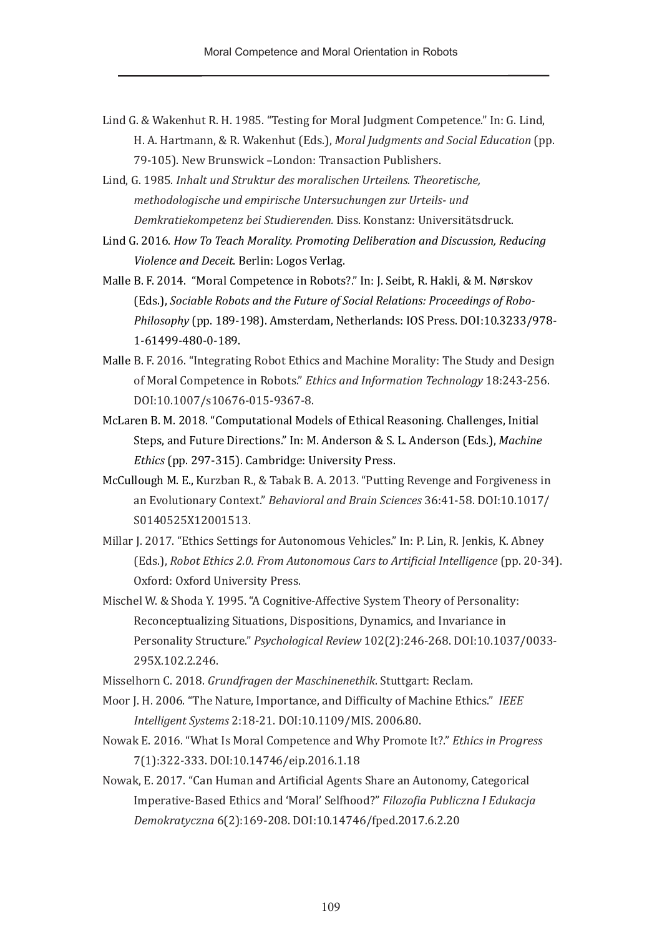- Lind G. & Wakenhut R. H. 1985. "Testing for Moral Judgment Competence." In: G. Lind, H. A. Hartmann, & R. Wakenhut (Eds.), *Moral Judgments and Social Education* (pp. 79-105). New Brunswick –London: Transaction Publishers.
- Lind, G. 1985. *Inhalt und Struktur des moralischen Urteilens. Theoretische, methodologische und empirische Untersuchungen zur Urteils- und Demkratiekompetenz bei Studierenden.* Diss. Konstanz: Universitätsdruck.
- Lind G. 2016. *How To Teach Morality. Promoting Deliberation and Discussion, Reducing Violence and Deceit*. Berlin: Logos Verlag.
- Malle B. F. 2014. "Moral Competence in Robots?." In: J. Seibt, R. Hakli, & M. Nørskov (Eds.), *Sociable Robots and the Future of Social Relations: Proceedings of Robo-Philosophy* (pp. 189-198). Amsterdam, Netherlands: IOS Press. DOI[:10.3233/978-](https://doi.org/10.3233/978-1-61499-480-0-189) [1-61499-480-0-189](https://doi.org/10.3233/978-1-61499-480-0-189).
- Malle B. F. 2016. "Integrating Robot Ethics and Machine Morality: The Study and Design of Moral Competence in Robots." *Ethics and Information Technology* 18:243-256. DOI[:10.1007/s10676-015-9367-8](https://doi.org/10.1007/s10676-015-9367-8).
- McLaren B. M. 2018. "Computational Models of Ethical Reasoning. Challenges, Initial Steps, and Future Directions." In: M. Anderson & S. L. Anderson (Eds.), *Machine Ethics* (pp. 297-315). Cambridge: University Press.
- McCullough M. E., Kurzban R., & Tabak B. A. 2013. "Putting Revenge and Forgiveness in an Evolutionary Context." *Behavioral and Brain Sciences* 36:41-58. DOI:[10.1017/](https://doi.org/10.1017/S0140525X12001513) [S0140525X12001513.](https://doi.org/10.1017/S0140525X12001513)
- Millar J. 2017. "Ethics Settings for Autonomous Vehicles." In: P. Lin, R. Jenkis, K. Abney (Eds.), *Robot Ethics 2.0. From Autonomous Cars to Artificial Intelligence* (pp. 20-34). Oxford: Oxford University Press.
- Mischel W. & Shoda Y. 1995. "A Cognitive-Affective System Theory of Personality: Reconceptualizing Situations, Dispositions, Dynamics, and Invariance in Personality Structure." *Psychological Review* 102(2):246-268. DOI[:10.1037/0033-](https://doi.org/10.1037/0033-295X.102.2.246) [295X.102.2.246](https://doi.org/10.1037/0033-295X.102.2.246).
- Misselhorn C. 2018. *Grundfragen der Maschinenethik*. Stuttgart: Reclam.
- Moor J. H. 2006. "The Nature, Importance, and Difficulty of Machine Ethics." *IEEE Intelligent Systems* 2:18-21. DOI[:10.1109/MIS. 2006.80.](https://doi.org/10.1109/MIS. 2006.80)
- Nowak E. 2016*.* "What Is Moral Competence and Why Promote It?." *Ethics in Progress*  7(1):322-333. DOI:[10.14746/eip.2016.1.18](https://doi.org/10.14746/eip.2016.1.18)
- Nowak, E. 2017. "Can Human and Artificial Agents Share an Autonomy, Categorical Imperative-Based Ethics and 'Moral' Selfhood?" *Filozofia Publiczna I Edukacja Demokratyczna* 6(2):169-208. DOI:[10.14746/fped.2017.6.2.20](https://doi.org/10.14746/fped.2017.6.2.20)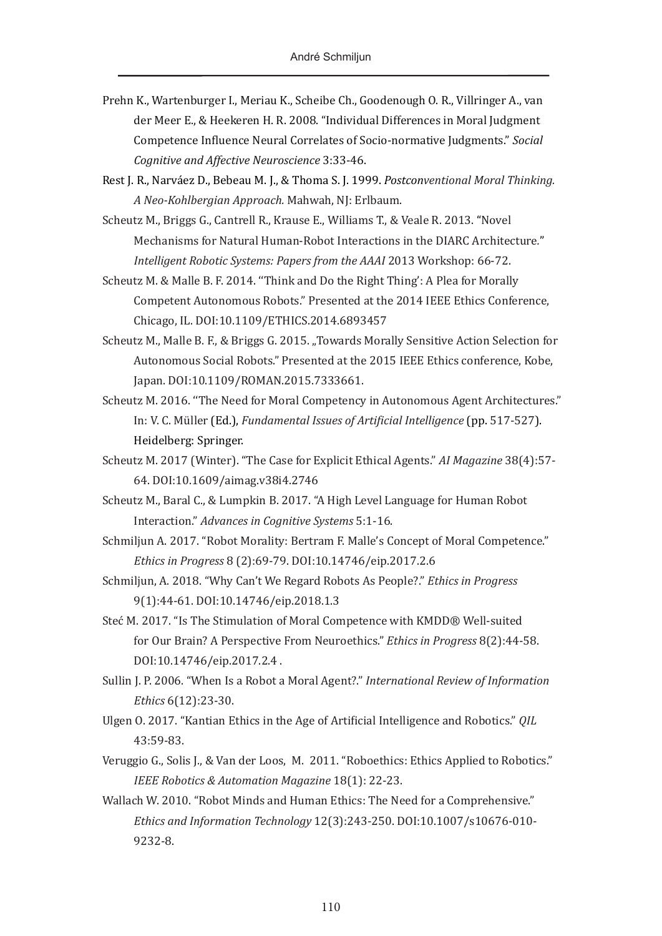- Prehn K., Wartenburger I., Meriau K., Scheibe Ch., Goodenough O. R., Villringer A., van der Meer E., & Heekeren H. R. 2008. "Individual Differences in Moral Judgment Competence Influence Neural Correlates of Socio-normative Judgments." *Social Cognitive and Affective Neuroscience* 3:33-46.
- Rest J. R., Narváez D., Bebeau M. J., & Thoma S. J. 1999. *Postconventional Moral Thinking. A Neo-Kohlbergian Approach.* Mahwah, NJ: Erlbaum.
- Scheutz M., Briggs G., Cantrell R., Krause E., Williams T., & Veale R. 2013. "Novel Mechanisms for Natural Human-Robot Interactions in the DIARC Architecture*.*" *Intelligent Robotic Systems: Papers from the AAAI* 2013 Workshop: 66-72.
- Scheutz M. & Malle B. F. 2014. ''Think and Do the Right Thing': A Plea for Morally Competent Autonomous Robots." Presented at the 2014 IEEE Ethics Conference, Chicago, IL. DOI:10.1109/ETHICS.2014.6893457
- Scheutz M., Malle B. F., & Briggs G. 2015. "Towards Morally Sensitive Action Selection for Autonomous Social Robots." Presented at the 2015 IEEE Ethics conference, Kobe, Japan. DOI:10.1109/ROMAN.2015.7333661.
- Scheutz M. 2016. ''The Need for Moral Competency in Autonomous Agent Architectures." In: V. C. Müller (Ed.), *[Fundamental Issues of Artificial Intelligence](https://link.springer.com/book/10.1007/978-3-319-26485-1)* (pp. 517-527). Heidelberg: Springer.
- Scheutz M. 2017 (Winter). "The Case for Explicit Ethical Agents." *AI Magazine* 38(4):57- 64. DOI[:10.1609/aimag.v38i4.2746](https://doi.org/10.1609/aimag.v38i4.2746)
- Scheutz M., Baral C., & Lumpkin B. 2017. "A High Level Language for Human Robot Interaction." *Advances in Cognitive Systems* 5:1-16.
- Schmiljun A. 2017. "Robot Morality: Bertram F. Malle's Concept of Moral Competence." *Ethics in Progress* 8 (2):69-79. DOI:[10.14746/eip.2017.2.6](https://doi.org/10.14746/eip.2017.2.6)
- Schmiljun, A. 2018. "Why Can't We Regard Robots As People?." *Ethics in Progress* 9(1):44-61. DOI:[10.14746/eip.2018.1.3](https://doi.org/10.14746/eip.2018.1.3)
- Steć M. 2017. "Is The Stimulation of Moral Competence with KMDD® Well-suited for Our Brain? A Perspective From Neuroethics." *Ethics in Progress* 8(2):44-58. DOI[:10.14746/eip.2017.2.4](https://doi.org/10.14746/eip.2017.2.4) .
- Sullin J. P. 2006. "When Is a Robot a Moral Agent?." *International Review of Information Ethics* 6(12):23-30.
- Ulgen O. 2017. "Kantian Ethics in the Age of Artificial Intelligence and Robotics." *QIL* 43:59-83.
- Veruggio G., Solis J., & Van der Loos, M. 2011. "Roboethics: Ethics Applied to Robotics." *IEEE Robotics & Automation Magazine* 18(1): 22-23.
- Wallach W. 2010. "Robot Minds and Human Ethics: The Need for a Comprehensive." *Ethics and Information Technology* 12(3):243-250. DOI[:10.1007/s10676-010-](https://doi.org/10.1007/s10676-010-9232-8) [9232-8.](https://doi.org/10.1007/s10676-010-9232-8)